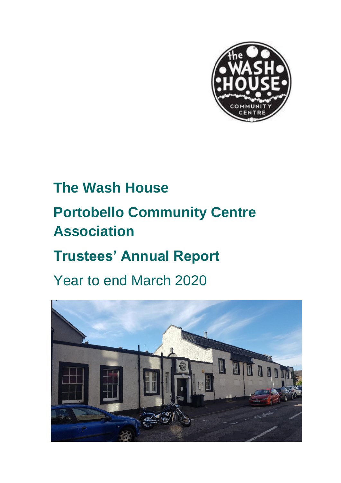

# **The Wash House**

## **Portobello Community Centre Association**

## **Trustees' Annual Report**

### Year to end March 2020

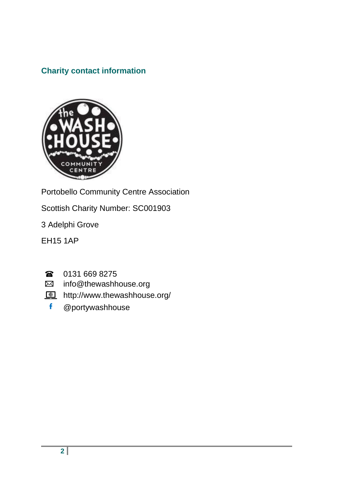#### **Charity contact information**



Portobello Community Centre Association

Scottish Charity Number: SC001903

3 Adelphi Grove

EH15 1AP

- 0131 669 8275  $\bullet$
- info@thewashhouse.org  $\boxtimes$
- **b** http://www.thewashhouse.org/
	- **f** @portywashhouse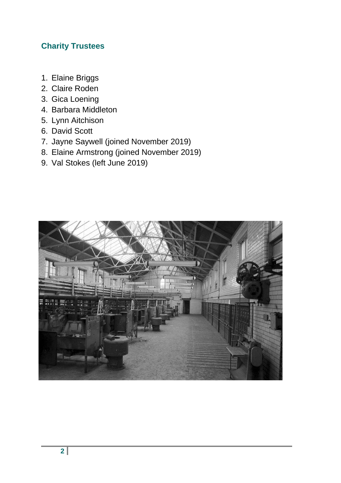#### **Charity Trustees**

- 1. Elaine Briggs
- 2. Claire Roden
- 3. Gica Loening
- 4. Barbara Middleton
- 5. Lynn Aitchison
- 6. David Scott
- 7. Jayne Saywell (joined November 2019)
- 8. Elaine Armstrong (joined November 2019)
- 9. Val Stokes (left June 2019)

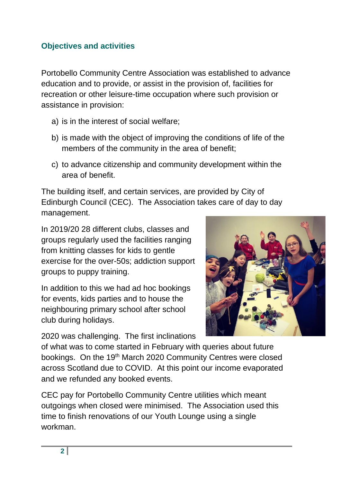#### **Objectives and activities**

Portobello Community Centre Association was established to advance education and to provide, or assist in the provision of, facilities for recreation or other leisure-time occupation where such provision or assistance in provision:

- a) is in the interest of social welfare;
- b) is made with the object of improving the conditions of life of the members of the community in the area of benefit;
- c) to advance citizenship and community development within the area of benefit.

The building itself, and certain services, are provided by City of Edinburgh Council (CEC). The Association takes care of day to day management.

In 2019/20 28 different clubs, classes and groups regularly used the facilities ranging from knitting classes for kids to gentle exercise for the over-50s; addiction support groups to puppy training.

In addition to this we had ad hoc bookings for events, kids parties and to house the neighbouring primary school after school club during holidays.

2020 was challenging. The first inclinations



of what was to come started in February with queries about future bookings. On the 19<sup>th</sup> March 2020 Community Centres were closed across Scotland due to COVID. At this point our income evaporated and we refunded any booked events.

CEC pay for Portobello Community Centre utilities which meant outgoings when closed were minimised. The Association used this time to finish renovations of our Youth Lounge using a single workman.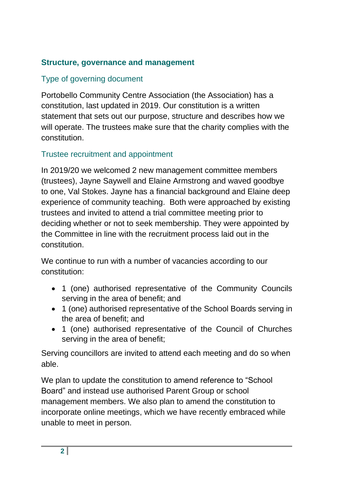#### **Structure, governance and management**

#### Type of governing document

Portobello Community Centre Association (the Association) has a constitution, last updated in 2019. Our constitution is a written statement that sets out our purpose, structure and describes how we will operate. The trustees make sure that the charity complies with the constitution.

#### Trustee recruitment and appointment

In 2019/20 we welcomed 2 new management committee members (trustees), Jayne Saywell and Elaine Armstrong and waved goodbye to one, Val Stokes. Jayne has a financial background and Elaine deep experience of community teaching. Both were approached by existing trustees and invited to attend a trial committee meeting prior to deciding whether or not to seek membership. They were appointed by the Committee in line with the recruitment process laid out in the constitution.

We continue to run with a number of vacancies according to our constitution:

- 1 (one) authorised representative of the Community Councils serving in the area of benefit; and
- 1 (one) authorised representative of the School Boards serving in the area of benefit; and
- 1 (one) authorised representative of the Council of Churches serving in the area of benefit;

Serving councillors are invited to attend each meeting and do so when able.

We plan to update the constitution to amend reference to "School Board" and instead use authorised Parent Group or school management members. We also plan to amend the constitution to incorporate online meetings, which we have recently embraced while unable to meet in person.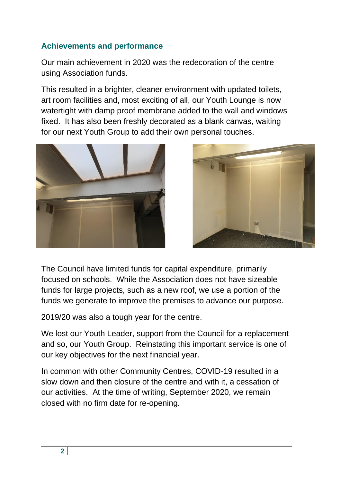#### **Achievements and performance**

Our main achievement in 2020 was the redecoration of the centre using Association funds.

This resulted in a brighter, cleaner environment with updated toilets, art room facilities and, most exciting of all, our Youth Lounge is now watertight with damp proof membrane added to the wall and windows fixed. It has also been freshly decorated as a blank canvas, waiting for our next Youth Group to add their own personal touches.





The Council have limited funds for capital expenditure, primarily focused on schools. While the Association does not have sizeable funds for large projects, such as a new roof, we use a portion of the funds we generate to improve the premises to advance our purpose.

2019/20 was also a tough year for the centre.

We lost our Youth Leader, support from the Council for a replacement and so, our Youth Group. Reinstating this important service is one of our key objectives for the next financial year.

In common with other Community Centres, COVID-19 resulted in a slow down and then closure of the centre and with it, a cessation of our activities. At the time of writing, September 2020, we remain closed with no firm date for re-opening.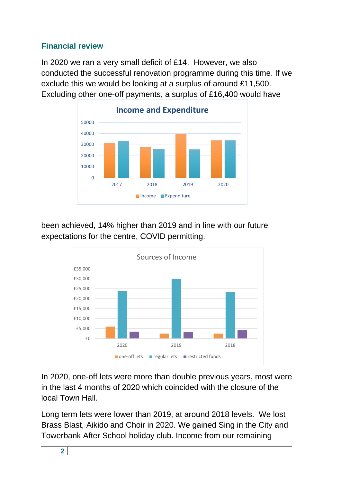#### **Financial review**

In 2020 we ran a very small deficit of £14. However, we also conducted the successful renovation programme during this time. If we exclude this we would be looking at a surplus of around £11,500. Excluding other one-off payments, a surplus of £16,400 would have



been achieved, 14% higher than 2019 and in line with our future expectations for the centre, COVID permitting.



In 2020, one-off lets were more than double previous years, most were in the last 4 months of 2020 which coincided with the closure of the local Town Hall.

Long term lets were lower than 2019, at around 2018 levels. We lost Brass Blast, Aikido and Choir in 2020. We gained Sing in the City and Towerbank After School holiday club. Income from our remaining